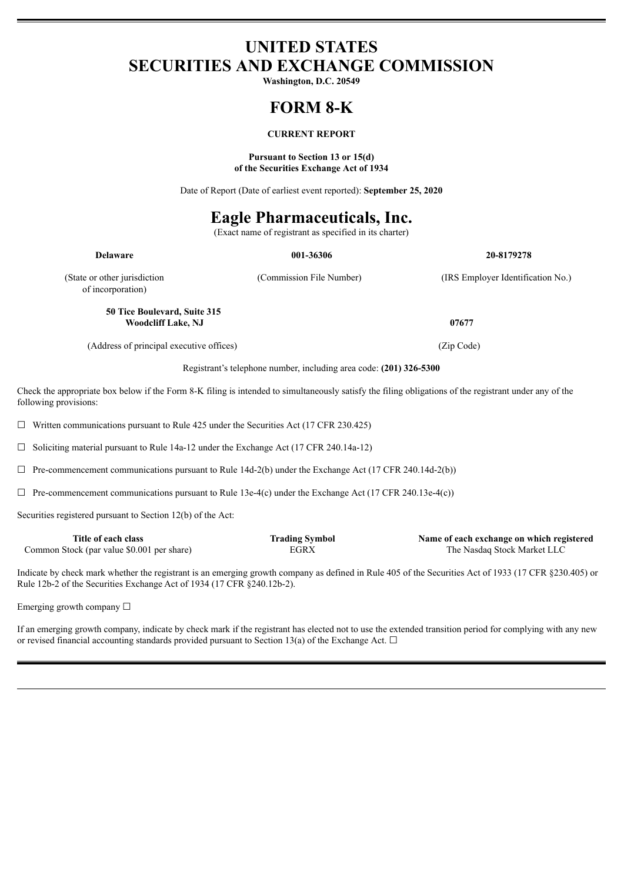# **UNITED STATES SECURITIES AND EXCHANGE COMMISSION**

**Washington, D.C. 20549**

# **FORM 8-K**

### **CURRENT REPORT**

#### **Pursuant to Section 13 or 15(d) of the Securities Exchange Act of 1934**

Date of Report (Date of earliest event reported): **September 25, 2020**

# **Eagle Pharmaceuticals, Inc.**

(Exact name of registrant as specified in its charter)

| <b>Delaware</b>                                           | 001-36306                | 20-8179278                        |
|-----------------------------------------------------------|--------------------------|-----------------------------------|
| (State or other jurisdiction)<br>of incorporation)        | (Commission File Number) | (IRS Employer Identification No.) |
| 50 Tice Boulevard, Suite 315<br><b>Woodcliff Lake, NJ</b> |                          | 07677                             |
| (Address of principal executive offices)                  |                          | (Zip Code)                        |

Registrant's telephone number, including area code: **(201) 326-5300**

Check the appropriate box below if the Form 8-K filing is intended to simultaneously satisfy the filing obligations of the registrant under any of the following provisions:

 $\Box$  Written communications pursuant to Rule 425 under the Securities Act (17 CFR 230.425)

☐ Soliciting material pursuant to Rule 14a-12 under the Exchange Act (17 CFR 240.14a-12)

 $\Box$  Pre-commencement communications pursuant to Rule 14d-2(b) under the Exchange Act (17 CFR 240.14d-2(b))

 $\Box$  Pre-commencement communications pursuant to Rule 13e-4(c) under the Exchange Act (17 CFR 240.13e-4(c))

Securities registered pursuant to Section 12(b) of the Act:

| Title of each class                        | <b>Trading Symbol</b> | Name of each exchange on which registered |
|--------------------------------------------|-----------------------|-------------------------------------------|
| Common Stock (par value \$0.001 per share) | EGRX                  | The Nasdag Stock Market LLC               |

Indicate by check mark whether the registrant is an emerging growth company as defined in Rule 405 of the Securities Act of 1933 (17 CFR §230.405) or Rule 12b-2 of the Securities Exchange Act of 1934 (17 CFR §240.12b-2).

Emerging growth company  $\Box$ 

If an emerging growth company, indicate by check mark if the registrant has elected not to use the extended transition period for complying with any new or revised financial accounting standards provided pursuant to Section 13(a) of the Exchange Act.  $\Box$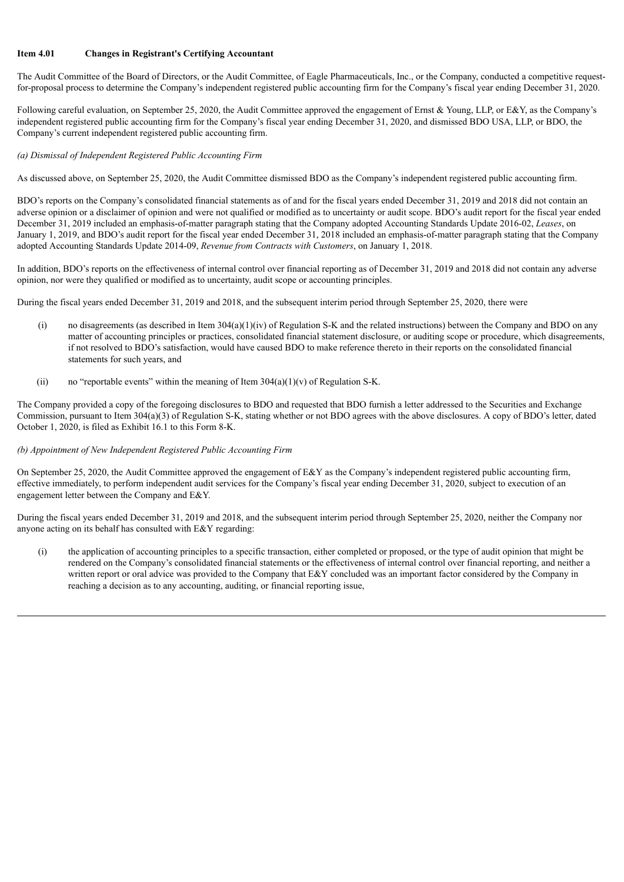### **Item 4.01 Changes in Registrant's Certifying Accountant**

The Audit Committee of the Board of Directors, or the Audit Committee, of Eagle Pharmaceuticals, Inc., or the Company, conducted a competitive requestfor-proposal process to determine the Company's independent registered public accounting firm for the Company's fiscal year ending December 31, 2020.

Following careful evaluation, on September 25, 2020, the Audit Committee approved the engagement of Ernst & Young, LLP, or E&Y, as the Company's independent registered public accounting firm for the Company's fiscal year ending December 31, 2020, and dismissed BDO USA, LLP, or BDO, the Company's current independent registered public accounting firm.

#### *(a) Dismissal of Independent Registered Public Accounting Firm*

As discussed above, on September 25, 2020, the Audit Committee dismissed BDO as the Company's independent registered public accounting firm.

BDO's reports on the Company's consolidated financial statements as of and for the fiscal years ended December 31, 2019 and 2018 did not contain an adverse opinion or a disclaimer of opinion and were not qualified or modified as to uncertainty or audit scope. BDO's audit report for the fiscal year ended December 31, 2019 included an emphasis-of-matter paragraph stating that the Company adopted Accounting Standards Update 2016-02, *Leases*, on January 1, 2019, and BDO's audit report for the fiscal year ended December 31, 2018 included an emphasis-of-matter paragraph stating that the Company adopted Accounting Standards Update 2014-09, *Revenue from Contracts with Customers*, on January 1, 2018.

In addition, BDO's reports on the effectiveness of internal control over financial reporting as of December 31, 2019 and 2018 did not contain any adverse opinion, nor were they qualified or modified as to uncertainty, audit scope or accounting principles.

During the fiscal years ended December 31, 2019 and 2018, and the subsequent interim period through September 25, 2020, there were

- (i) no disagreements (as described in Item  $304(a)(1)(iv)$  of Regulation S-K and the related instructions) between the Company and BDO on any matter of accounting principles or practices, consolidated financial statement disclosure, or auditing scope or procedure, which disagreements, if not resolved to BDO's satisfaction, would have caused BDO to make reference thereto in their reports on the consolidated financial statements for such years, and
- (ii) no "reportable events" within the meaning of Item  $304(a)(1)(v)$  of Regulation S-K.

The Company provided a copy of the foregoing disclosures to BDO and requested that BDO furnish a letter addressed to the Securities and Exchange Commission, pursuant to Item 304(a)(3) of Regulation S-K, stating whether or not BDO agrees with the above disclosures. A copy of BDO's letter, dated October 1, 2020, is filed as Exhibit 16.1 to this Form 8-K.

#### *(b) Appointment of New Independent Registered Public Accounting Firm*

On September 25, 2020, the Audit Committee approved the engagement of  $E\&Y$  as the Company's independent registered public accounting firm, effective immediately, to perform independent audit services for the Company's fiscal year ending December 31, 2020, subject to execution of an engagement letter between the Company and E&Y.

During the fiscal years ended December 31, 2019 and 2018, and the subsequent interim period through September 25, 2020, neither the Company nor anyone acting on its behalf has consulted with E&Y regarding:

(i) the application of accounting principles to a specific transaction, either completed or proposed, or the type of audit opinion that might be rendered on the Company's consolidated financial statements or the effectiveness of internal control over financial reporting, and neither a written report or oral advice was provided to the Company that E&Y concluded was an important factor considered by the Company in reaching a decision as to any accounting, auditing, or financial reporting issue,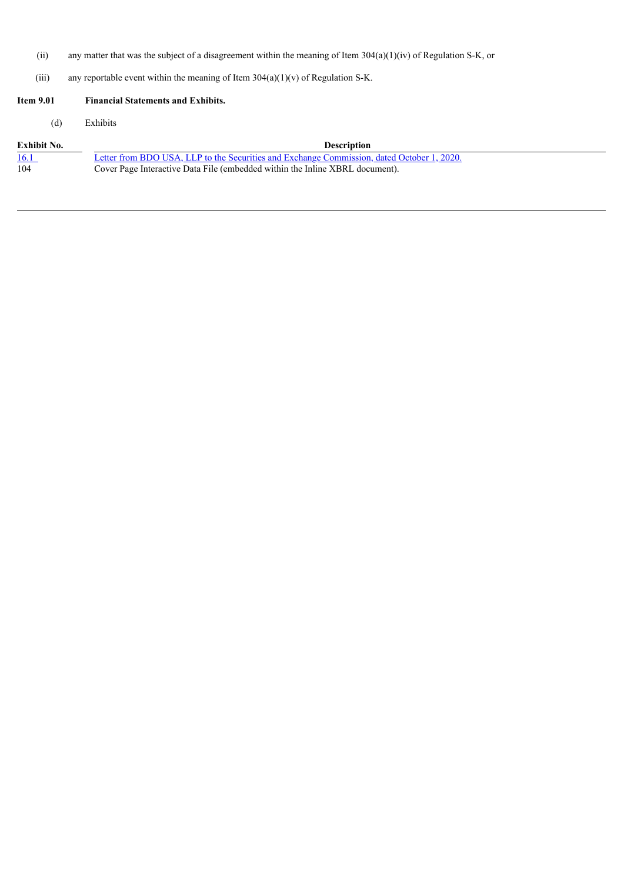- (ii) any matter that was the subject of a disagreement within the meaning of Item 304(a)(1)(iv) of Regulation S-K, or
- (iii) any reportable event within the meaning of Item  $304(a)(1)(v)$  of Regulation S-K.

# **Item 9.01 Financial Statements and Exhibits.** (d) Exhibits **Exhibit No.**<br>104 **Description**<br>104 **Description**<br>104 **Description**<br>104 **Description**<br>104 **Description**<br>104 **Description**<br>104 **Description**<br>105 **Description**<br>105 **Description**<br>105 **Description**<br>105 **Description** Letter from BDO USA, LLP to the Securities and Exchange [Commission,](#page-4-0) dated October 1, 2020. Cover Page Interactive Data File (embedded within the Inline XBRL document).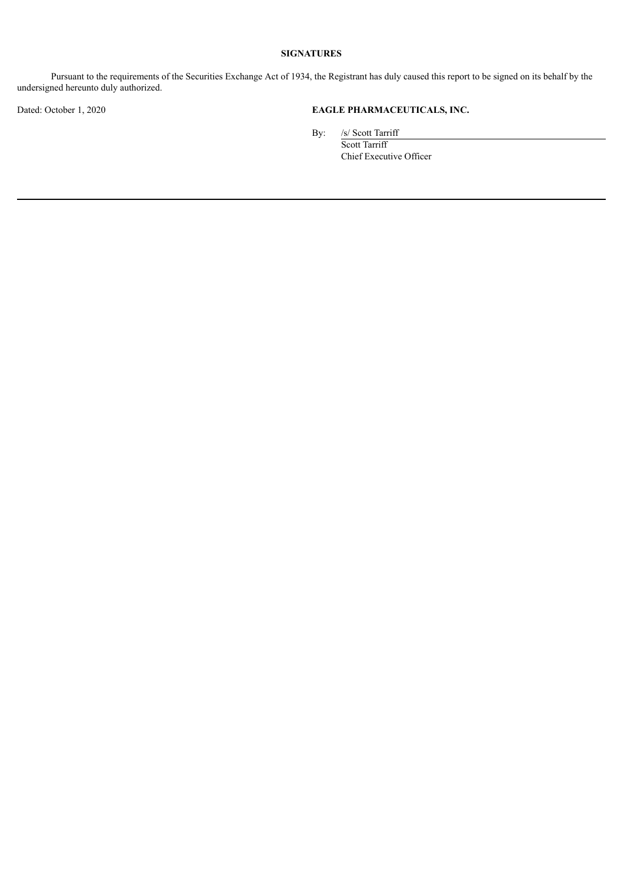### **SIGNATURES**

Pursuant to the requirements of the Securities Exchange Act of 1934, the Registrant has duly caused this report to be signed on its behalf by the undersigned hereunto duly authorized.

## Dated: October 1, 2020 **EAGLE PHARMACEUTICALS, INC.**

By: /s/ Scott Tarriff

Scott Tarriff Chief Executive Officer